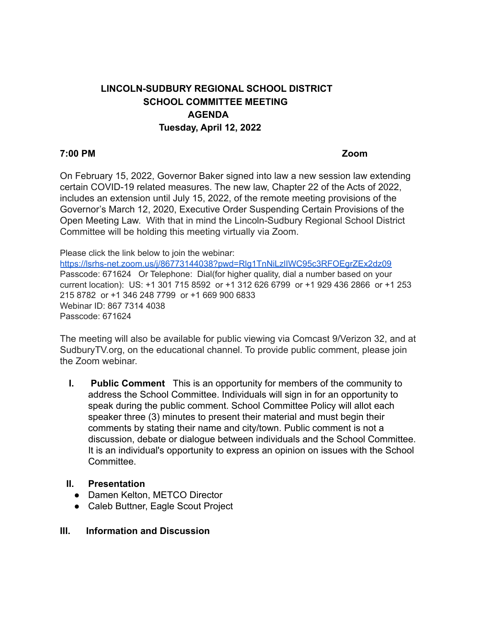# **LINCOLN-SUDBURY REGIONAL SCHOOL DISTRICT SCHOOL COMMITTEE MEETING AGENDA Tuesday, April 12, 2022**

#### **7:00 PM Zoom**

On February 15, 2022, Governor Baker signed into law a new session law extending certain COVID-19 related measures. The new law, Chapter 22 of the Acts of 2022, includes an extension until July 15, 2022, of the remote meeting provisions of the Governor's March 12, 2020, Executive Order Suspending Certain Provisions of the Open Meeting Law. With that in mind the Lincoln-Sudbury Regional School District Committee will be holding this meeting virtually via Zoom.

Please click the link below to join the webinar:

<https://lsrhs-net.zoom.us/j/86773144038?pwd=Rlg1TnNiLzlIWC95c3RFOEgrZEx2dz09> Passcode: 671624 Or Telephone: Dial(for higher quality, dial a number based on your current location): US: +1 301 715 8592 or +1 312 626 6799 or +1 929 436 2866 or +1 253 215 8782 or +1 346 248 7799 or +1 669 900 6833 Webinar ID: 867 7314 4038 Passcode: 671624

The meeting will also be available for public viewing via Comcast 9/Verizon 32, and at SudburyTV.org, on the educational channel. To provide public comment, please join the Zoom webinar.

**I. Public Comment** This is an opportunity for members of the community to address the School Committee. Individuals will sign in for an opportunity to speak during the public comment. School Committee Policy will allot each speaker three (3) minutes to present their material and must begin their comments by stating their name and city/town. Public comment is not a discussion, debate or dialogue between individuals and the School Committee. It is an individual's opportunity to express an opinion on issues with the School **Committee.** 

#### **II. Presentation**

- Damen Kelton, METCO Director
- Caleb Buttner, Eagle Scout Project

#### **III. Information and Discussion**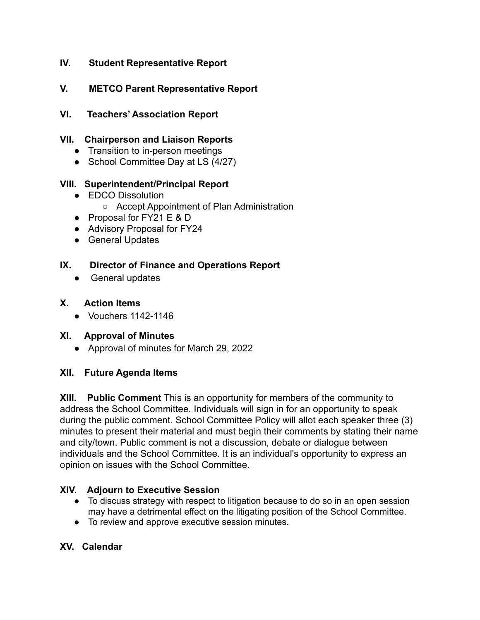# **IV. Student Representative Report**

# **V. METCO Parent Representative Report**

**VI. Teachers' Association Report**

### **VII. Chairperson and Liaison Reports**

- Transition to in-person meetings
- School Committee Day at LS (4/27)

### **VIII. Superintendent/Principal Report**

- EDCO Dissolution
	- Accept Appointment of Plan Administration
- Proposal for FY21 E & D
- Advisory Proposal for FY24
- General Updates

### **IX. Director of Finance and Operations Report**

• General updates

### **X. Action Items**

● Vouchers 1142-1146

# **XI. Approval of Minutes**

● Approval of minutes for March 29, 2022

# **XII. Future Agenda Items**

**XIII. Public Comment** This is an opportunity for members of the community to address the School Committee. Individuals will sign in for an opportunity to speak during the public comment. School Committee Policy will allot each speaker three (3) minutes to present their material and must begin their comments by stating their name and city/town. Public comment is not a discussion, debate or dialogue between individuals and the School Committee. It is an individual's opportunity to express an opinion on issues with the School Committee.

# **XIV. Adjourn to Executive Session**

- To discuss strategy with respect to litigation because to do so in an open session may have a detrimental effect on the litigating position of the School Committee.
- To review and approve executive session minutes.

#### **XV. Calendar**